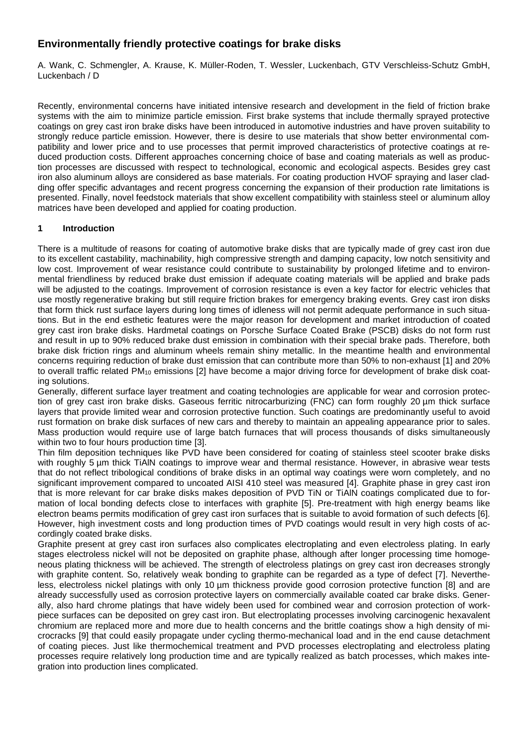# **Environmentally friendly protective coatings for brake disks**

A. Wank, C. Schmengler, A. Krause, K. Müller-Roden, T. Wessler, Luckenbach, GTV Verschleiss-Schutz GmbH, Luckenbach / D

Recently, environmental concerns have initiated intensive research and development in the field of friction brake systems with the aim to minimize particle emission. First brake systems that include thermally sprayed protective coatings on grey cast iron brake disks have been introduced in automotive industries and have proven suitability to strongly reduce particle emission. However, there is desire to use materials that show better environmental compatibility and lower price and to use processes that permit improved characteristics of protective coatings at reduced production costs. Different approaches concerning choice of base and coating materials as well as production processes are discussed with respect to technological, economic and ecological aspects. Besides grey cast iron also aluminum alloys are considered as base materials. For coating production HVOF spraying and laser cladding offer specific advantages and recent progress concerning the expansion of their production rate limitations is presented. Finally, novel feedstock materials that show excellent compatibility with stainless steel or aluminum alloy matrices have been developed and applied for coating production.

## **1 Introduction**

There is a multitude of reasons for coating of automotive brake disks that are typically made of grey cast iron due to its excellent castability, machinability, high compressive strength and damping capacity, low notch sensitivity and low cost. Improvement of wear resistance could contribute to sustainability by prolonged lifetime and to environmental friendliness by reduced brake dust emission if adequate coating materials will be applied and brake pads will be adjusted to the coatings. Improvement of corrosion resistance is even a key factor for electric vehicles that use mostly regenerative braking but still require friction brakes for emergency braking events. Grey cast iron disks that form thick rust surface layers during long times of idleness will not permit adequate performance in such situations. But in the end esthetic features were the major reason for development and market introduction of coated grey cast iron brake disks. Hardmetal coatings on Porsche Surface Coated Brake (PSCB) disks do not form rust and result in up to 90% reduced brake dust emission in combination with their special brake pads. Therefore, both brake disk friction rings and aluminum wheels remain shiny metallic. In the meantime health and environmental concerns requiring reduction of brake dust emission that can contribute more than 50% to non-exhaust [1] and 20% to overall traffic related PM<sub>10</sub> emissions [2] have become a major driving force for development of brake disk coating solutions.

Generally, different surface layer treatment and coating technologies are applicable for wear and corrosion protection of grey cast iron brake disks. Gaseous ferritic nitrocarburizing (FNC) can form roughly 20 µm thick surface layers that provide limited wear and corrosion protective function. Such coatings are predominantly useful to avoid rust formation on brake disk surfaces of new cars and thereby to maintain an appealing appearance prior to sales. Mass production would require use of large batch furnaces that will process thousands of disks simultaneously within two to four hours production time [3].

Thin film deposition techniques like PVD have been considered for coating of stainless steel scooter brake disks with roughly 5 um thick TiAIN coatings to improve wear and thermal resistance. However, in abrasive wear tests that do not reflect tribological conditions of brake disks in an optimal way coatings were worn completely, and no significant improvement compared to uncoated AISI 410 steel was measured [4]. Graphite phase in grey cast iron that is more relevant for car brake disks makes deposition of PVD TiN or TiAlN coatings complicated due to formation of local bonding defects close to interfaces with graphite [5]. Pre-treatment with high energy beams like electron beams permits modification of grey cast iron surfaces that is suitable to avoid formation of such defects [6]. However, high investment costs and long production times of PVD coatings would result in very high costs of accordingly coated brake disks.

Graphite present at grey cast iron surfaces also complicates electroplating and even electroless plating. In early stages electroless nickel will not be deposited on graphite phase, although after longer processing time homogeneous plating thickness will be achieved. The strength of electroless platings on grey cast iron decreases strongly with graphite content. So, relatively weak bonding to graphite can be regarded as a type of defect [7]. Nevertheless, electroless nickel platings with only 10 µm thickness provide good corrosion protective function [8] and are already successfully used as corrosion protective layers on commercially available coated car brake disks. Generally, also hard chrome platings that have widely been used for combined wear and corrosion protection of workpiece surfaces can be deposited on grey cast iron. But electroplating processes involving carcinogenic hexavalent chromium are replaced more and more due to health concerns and the brittle coatings show a high density of microcracks [9] that could easily propagate under cycling thermo-mechanical load and in the end cause detachment of coating pieces. Just like thermochemical treatment and PVD processes electroplating and electroless plating processes require relatively long production time and are typically realized as batch processes, which makes integration into production lines complicated.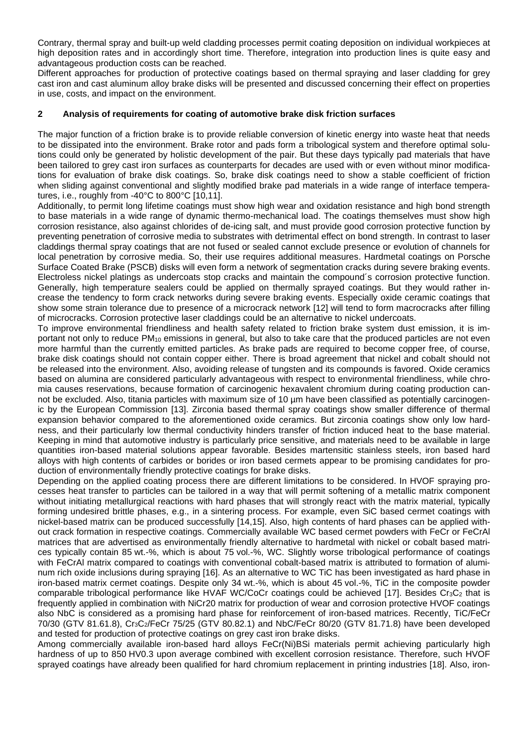Contrary, thermal spray and built-up weld cladding processes permit coating deposition on individual workpieces at high deposition rates and in accordingly short time. Therefore, integration into production lines is quite easy and advantageous production costs can be reached.

Different approaches for production of protective coatings based on thermal spraying and laser cladding for grey cast iron and cast aluminum alloy brake disks will be presented and discussed concerning their effect on properties in use, costs, and impact on the environment.

#### **2 Analysis of requirements for coating of automotive brake disk friction surfaces**

The major function of a friction brake is to provide reliable conversion of kinetic energy into waste heat that needs to be dissipated into the environment. Brake rotor and pads form a tribological system and therefore optimal solutions could only be generated by holistic development of the pair. But these days typically pad materials that have been tailored to grey cast iron surfaces as counterparts for decades are used with or even without minor modifications for evaluation of brake disk coatings. So, brake disk coatings need to show a stable coefficient of friction when sliding against conventional and slightly modified brake pad materials in a wide range of interface temperatures, i.e., roughly from -40°C to 800°C [10,11].

Additionally, to permit long lifetime coatings must show high wear and oxidation resistance and high bond strength to base materials in a wide range of dynamic thermo-mechanical load. The coatings themselves must show high corrosion resistance, also against chlorides of de-icing salt, and must provide good corrosion protective function by preventing penetration of corrosive media to substrates with detrimental effect on bond strength. In contrast to laser claddings thermal spray coatings that are not fused or sealed cannot exclude presence or evolution of channels for local penetration by corrosive media. So, their use requires additional measures. Hardmetal coatings on Porsche Surface Coated Brake (PSCB) disks will even form a network of segmentation cracks during severe braking events. Electroless nickel platings as undercoats stop cracks and maintain the compound´s corrosion protective function. Generally, high temperature sealers could be applied on thermally sprayed coatings. But they would rather increase the tendency to form crack networks during severe braking events. Especially oxide ceramic coatings that show some strain tolerance due to presence of a microcrack network [12] will tend to form macrocracks after filling of microcracks. Corrosion protective laser claddings could be an alternative to nickel undercoats.

To improve environmental friendliness and health safety related to friction brake system dust emission, it is important not only to reduce PM<sub>10</sub> emissions in general, but also to take care that the produced particles are not even more harmful than the currently emitted particles. As brake pads are required to become copper free, of course, brake disk coatings should not contain copper either. There is broad agreement that nickel and cobalt should not be released into the environment. Also, avoiding release of tungsten and its compounds is favored. Oxide ceramics based on alumina are considered particularly advantageous with respect to environmental friendliness, while chromia causes reservations, because formation of carcinogenic hexavalent chromium during coating production cannot be excluded. Also, titania particles with maximum size of 10  $\mu$ m have been classified as potentially carcinogenic by the European Commission [13]. Zirconia based thermal spray coatings show smaller difference of thermal expansion behavior compared to the aforementioned oxide ceramics. But zirconia coatings show only low hardness, and their particularly low thermal conductivity hinders transfer of friction induced heat to the base material. Keeping in mind that automotive industry is particularly price sensitive, and materials need to be available in large quantities iron-based material solutions appear favorable. Besides martensitic stainless steels, iron based hard alloys with high contents of carbides or borides or iron based cermets appear to be promising candidates for production of environmentally friendly protective coatings for brake disks.

Depending on the applied coating process there are different limitations to be considered. In HVOF spraying processes heat transfer to particles can be tailored in a way that will permit softening of a metallic matrix component without initiating metallurgical reactions with hard phases that will strongly react with the matrix material, typically forming undesired brittle phases, e.g., in a sintering process. For example, even SiC based cermet coatings with nickel-based matrix can be produced successfully [14,15]. Also, high contents of hard phases can be applied without crack formation in respective coatings. Commercially available WC based cermet powders with FeCr or FeCrAl matrices that are advertised as environmentally friendly alternative to hardmetal with nickel or cobalt based matrices typically contain 85 wt.-%, which is about 75 vol.-%, WC. Slightly worse tribological performance of coatings with FeCrAl matrix compared to coatings with conventional cobalt-based matrix is attributed to formation of aluminum rich oxide inclusions during spraying [16]. As an alternative to WC TiC has been investigated as hard phase in iron-based matrix cermet coatings. Despite only 34 wt.-%, which is about 45 vol.-%, TiC in the composite powder comparable tribological performance like HVAF WC/CoCr coatings could be achieved [17]. Besides Cr<sub>3</sub>C<sub>2</sub> that is frequently applied in combination with NiCr20 matrix for production of wear and corrosion protective HVOF coatings also NbC is considered as a promising hard phase for reinforcement of iron-based matrices. Recently, TiC/FeCr 70/30 (GTV 81.61.8), Cr3C2/FeCr 75/25 (GTV 80.82.1) and NbC/FeCr 80/20 (GTV 81.71.8) have been developed and tested for production of protective coatings on grey cast iron brake disks.

Among commercially available iron-based hard alloys FeCr(Ni)BSi materials permit achieving particularly high hardness of up to 850 HV0.3 upon average combined with excellent corrosion resistance. Therefore, such HVOF sprayed coatings have already been qualified for hard chromium replacement in printing industries [18]. Also, iron-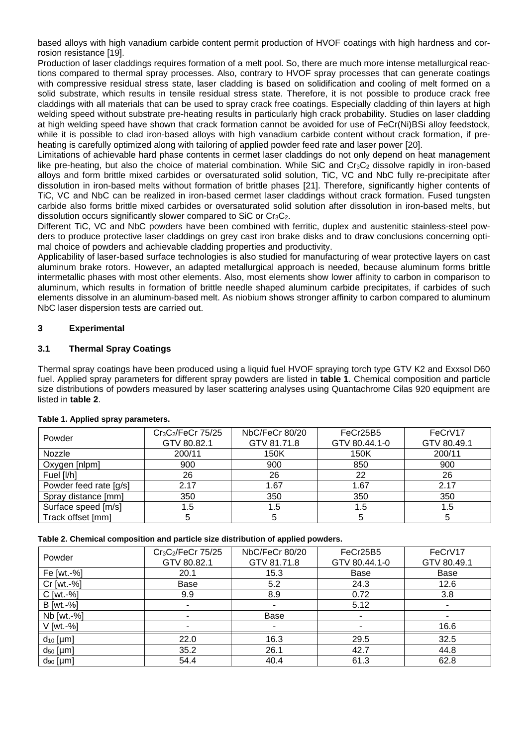based alloys with high vanadium carbide content permit production of HVOF coatings with high hardness and corrosion resistance [19].

Production of laser claddings requires formation of a melt pool. So, there are much more intense metallurgical reactions compared to thermal spray processes. Also, contrary to HVOF spray processes that can generate coatings with compressive residual stress state, laser cladding is based on solidification and cooling of melt formed on a solid substrate, which results in tensile residual stress state. Therefore, it is not possible to produce crack free claddings with all materials that can be used to spray crack free coatings. Especially cladding of thin layers at high welding speed without substrate pre-heating results in particularly high crack probability. Studies on laser cladding at high welding speed have shown that crack formation cannot be avoided for use of FeCr(Ni)BSi alloy feedstock, while it is possible to clad iron-based alloys with high vanadium carbide content without crack formation, if preheating is carefully optimized along with tailoring of applied powder feed rate and laser power [20].

Limitations of achievable hard phase contents in cermet laser claddings do not only depend on heat management like pre-heating, but also the choice of material combination. While SiC and  $Cr<sub>3</sub>C<sub>2</sub>$  dissolve rapidly in iron-based alloys and form brittle mixed carbides or oversaturated solid solution, TiC, VC and NbC fully re-precipitate after dissolution in iron-based melts without formation of brittle phases [21]. Therefore, significantly higher contents of TiC, VC and NbC can be realized in iron-based cermet laser claddings without crack formation. Fused tungsten carbide also forms brittle mixed carbides or oversaturated solid solution after dissolution in iron-based melts, but dissolution occurs significantly slower compared to SiC or Cr<sub>3</sub>C<sub>2</sub>.

Different TiC, VC and NbC powders have been combined with ferritic, duplex and austenitic stainless-steel powders to produce protective laser claddings on grey cast iron brake disks and to draw conclusions concerning optimal choice of powders and achievable cladding properties and productivity.

Applicability of laser-based surface technologies is also studied for manufacturing of wear protective layers on cast aluminum brake rotors. However, an adapted metallurgical approach is needed, because aluminum forms brittle intermetallic phases with most other elements. Also, most elements show lower affinity to carbon in comparison to aluminum, which results in formation of brittle needle shaped aluminum carbide precipitates, if carbides of such elements dissolve in an aluminum-based melt. As niobium shows stronger affinity to carbon compared to aluminum NbC laser dispersion tests are carried out.

### **3 Experimental**

### **3.1 Thermal Spray Coatings**

Thermal spray coatings have been produced using a liquid fuel HVOF spraying torch type GTV K2 and Exxsol D60 fuel. Applied spray parameters for different spray powders are listed in **table 1**. Chemical composition and particle size distributions of powders measured by laser scattering analyses using Quantachrome Cilas 920 equipment are listed in **table 2**.

| Powder                 | $Cr_3C_2/FeCr$ 75/25 | NbC/FeCr 80/20 | FeCr25B5      | FeCrV17     |
|------------------------|----------------------|----------------|---------------|-------------|
|                        | GTV 80.82.1          | GTV 81.71.8    | GTV 80.44.1-0 | GTV 80.49.1 |
| Nozzle                 | 200/11               | 150K           | 150K          | 200/11      |
| Oxygen [nlpm]          | 900                  | 900            | 850           | 900         |
| Fuel [I/h]             | 26                   | 26             | 22            | 26          |
| Powder feed rate [g/s] | 2.17                 | 1.67           | 1.67          | 2.17        |
| Spray distance [mm]    | 350                  | 350            | 350           | 350         |
| Surface speed [m/s]    | 1.5                  | 1.5            | 1.5           | 1.5         |
| Track offset [mm]      |                      |                |               |             |

#### **Table 1. Applied spray parameters.**

| Table 2. Chemical composition and particle size distribution of applied powders. |  |  |
|----------------------------------------------------------------------------------|--|--|
|                                                                                  |  |  |

| Powder        | $Cr_3C_2/FeCr$ 75/25 | NbC/FeCr 80/20 | FeCr25B5      | FeCrV17     |
|---------------|----------------------|----------------|---------------|-------------|
|               | GTV 80.82.1          | GTV 81.71.8    | GTV 80.44.1-0 | GTV 80.49.1 |
| Fe [wt.-%]    | 20.1                 | 15.3           | Base          | Base        |
| $Cr$ [wt.-%]  | Base                 | 5.2            | 24.3          | 12.6        |
| $C$ [wt.-%]   | 9.9                  | 8.9            | 0.72          | 3.8         |
| B [wt.-%]     |                      |                | 5.12          | ٠           |
| Nb [wt.-%]    |                      | Base           | ٠             | ٠           |
| V [wt.-%]     |                      |                |               | 16.6        |
| $d_{10}$ [µm] | 22.0                 | 16.3           | 29.5          | 32.5        |
| $d_{50}$ [µm] | 35.2                 | 26.1           | 42.7          | 44.8        |
| $d_{90}$ [µm] | 54.4                 | 40.4           | 61.3          | 62.8        |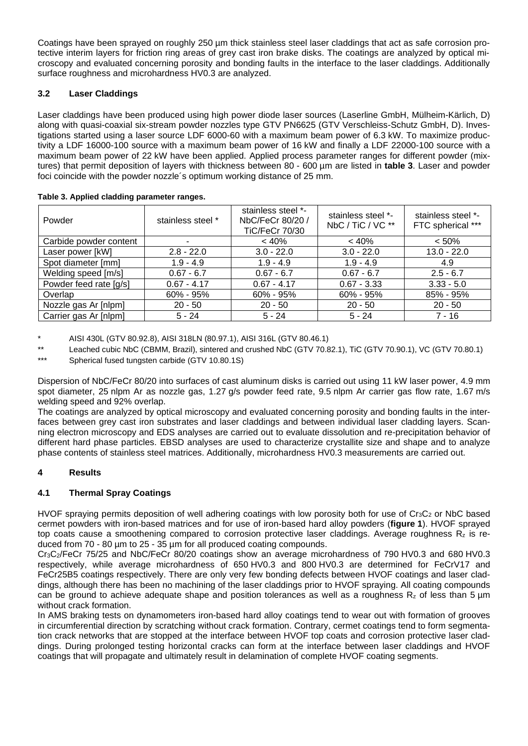Coatings have been sprayed on roughly 250 µm thick stainless steel laser claddings that act as safe corrosion protective interim layers for friction ring areas of grey cast iron brake disks. The coatings are analyzed by optical microscopy and evaluated concerning porosity and bonding faults in the interface to the laser claddings. Additionally surface roughness and microhardness HV0.3 are analyzed.

# **3.2 Laser Claddings**

Laser claddings have been produced using high power diode laser sources (Laserline GmbH, Mülheim-Kärlich, D) along with quasi-coaxial six-stream powder nozzles type GTV PN6625 (GTV Verschleiss-Schutz GmbH, D). Investigations started using a laser source LDF 6000-60 with a maximum beam power of 6.3 kW. To maximize productivity a LDF 16000-100 source with a maximum beam power of 16 kW and finally a LDF 22000-100 source with a maximum beam power of 22 kW have been applied. Applied process parameter ranges for different powder (mixtures) that permit deposition of layers with thickness between 80 - 600 µm are listed in **table 3**. Laser and powder foci coincide with the powder nozzle´s optimum working distance of 25 mm.

| Powder                 | stainless steel * | stainless steel *-<br>NbC/FeCr 80/20 /<br>TiC/FeCr 70/30 | stainless steel *-<br>NbC / TiC / VC ** | stainless steel *-<br>FTC spherical *** |
|------------------------|-------------------|----------------------------------------------------------|-----------------------------------------|-----------------------------------------|
| Carbide powder content | ٠                 | < 40%                                                    | < 40%                                   | $< 50\%$                                |
| Laser power [kW]       | $2.8 - 22.0$      | $3.0 - 22.0$                                             | $3.0 - 22.0$                            | $13.0 - 22.0$                           |
| Spot diameter [mm]     | $1.9 - 4.9$       | $1.9 - 4.9$                                              | $1.9 - 4.9$                             | 4.9                                     |
| Welding speed [m/s]    | $0.67 - 6.7$      | $0.67 - 6.7$                                             | $0.67 - 6.7$                            | $2.5 - 6.7$                             |
| Powder feed rate [g/s] | $0.67 - 4.17$     | $0.67 - 4.17$                                            | $0.67 - 3.33$                           | $3.33 - 5.0$                            |
| Overlap                | $60\% - 95\%$     | $60\% - 95\%$                                            | $60\% - 95\%$                           | 85% - 95%                               |
| Nozzle gas Ar [nlpm]   | $20 - 50$         | $20 - 50$                                                | $20 - 50$                               | $20 - 50$                               |
| Carrier gas Ar [nlpm]  | $5 - 24$          | $5 - 24$                                                 | $5 - 24$                                | $7 - 16$                                |

**Table 3. Applied cladding parameter ranges.**

\* AISI 430L (GTV 80.92.8), AISI 318LN (80.97.1), AISI 316L (GTV 80.46.1)

\*\* Leached cubic NbC (CBMM, Brazil), sintered and crushed NbC (GTV 70.82.1), TiC (GTV 70.90.1), VC (GTV 70.80.1)<br>\*\*\* Spherical fungsten carbide (GTV 10.80.1S)

Spherical fused tungsten carbide (GTV 10.80.1S)

Dispersion of NbC/FeCr 80/20 into surfaces of cast aluminum disks is carried out using 11 kW laser power, 4.9 mm spot diameter, 25 nlpm Ar as nozzle gas, 1.27 g/s powder feed rate, 9.5 nlpm Ar carrier gas flow rate, 1.67 m/s welding speed and 92% overlap.

The coatings are analyzed by optical microscopy and evaluated concerning porosity and bonding faults in the interfaces between grey cast iron substrates and laser claddings and between individual laser cladding layers. Scanning electron microscopy and EDS analyses are carried out to evaluate dissolution and re-precipitation behavior of different hard phase particles. EBSD analyses are used to characterize crystallite size and shape and to analyze phase contents of stainless steel matrices. Additionally, microhardness HV0.3 measurements are carried out.

# **4 Results**

# **4.1 Thermal Spray Coatings**

HVOF spraying permits deposition of well adhering coatings with low porosity both for use of Cr<sub>3</sub>C<sub>2</sub> or NbC based cermet powders with iron-based matrices and for use of iron-based hard alloy powders (**figure 1**). HVOF sprayed top coats cause a smoothening compared to corrosion protective laser claddings. Average roughness  $R_z$  is reduced from 70 - 80 µm to 25 - 35 µm for all produced coating compounds.

Cr3C2/FeCr 75/25 and NbC/FeCr 80/20 coatings show an average microhardness of 790 HV0.3 and 680 HV0.3 respectively, while average microhardness of 650 HV0.3 and 800 HV0.3 are determined for FeCrV17 and FeCr25B5 coatings respectively. There are only very few bonding defects between HVOF coatings and laser claddings, although there has been no machining of the laser claddings prior to HVOF spraying. All coating compounds can be ground to achieve adequate shape and position tolerances as well as a roughness Rz of less than 5 µm without crack formation.

In AMS braking tests on dynamometers iron-based hard alloy coatings tend to wear out with formation of grooves in circumferential direction by scratching without crack formation. Contrary, cermet coatings tend to form segmentation crack networks that are stopped at the interface between HVOF top coats and corrosion protective laser claddings. During prolonged testing horizontal cracks can form at the interface between laser claddings and HVOF coatings that will propagate and ultimately result in delamination of complete HVOF coating segments.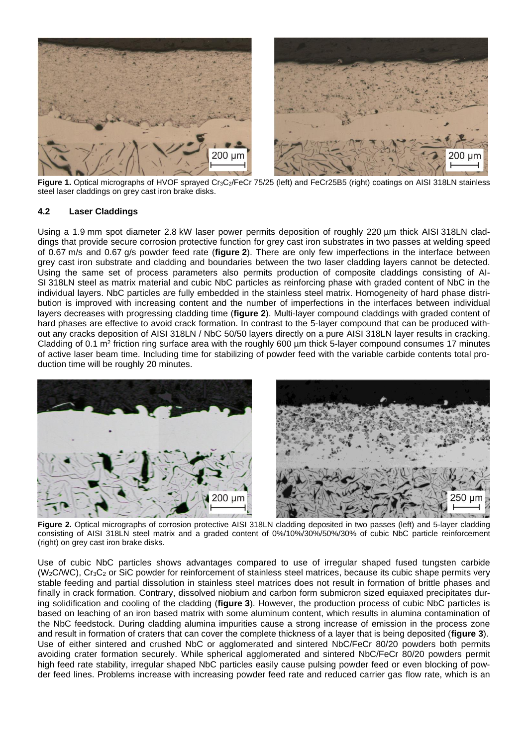

**Figure 1.** Optical micrographs of HVOF sprayed Cr3C2/FeCr 75/25 (left) and FeCr25B5 (right) coatings on AISI 318LN stainless steel laser claddings on grey cast iron brake disks.

#### **4.2 Laser Claddings**

Using a 1.9 mm spot diameter 2.8 kW laser power permits deposition of roughly 220 µm thick AISI 318LN claddings that provide secure corrosion protective function for grey cast iron substrates in two passes at welding speed of 0.67 m/s and 0.67 g/s powder feed rate (**figure 2**). There are only few imperfections in the interface between grey cast iron substrate and cladding and boundaries between the two laser cladding layers cannot be detected. Using the same set of process parameters also permits production of composite claddings consisting of AI-SI 318LN steel as matrix material and cubic NbC particles as reinforcing phase with graded content of NbC in the individual layers. NbC particles are fully embedded in the stainless steel matrix. Homogeneity of hard phase distribution is improved with increasing content and the number of imperfections in the interfaces between individual layers decreases with progressing cladding time (**figure 2**). Multi-layer compound claddings with graded content of hard phases are effective to avoid crack formation. In contrast to the 5-layer compound that can be produced without any cracks deposition of AISI 318LN / NbC 50/50 layers directly on a pure AISI 318LN layer results in cracking. Cladding of 0.1  $m^2$  friction ring surface area with the roughly 600  $\mu$ m thick 5-layer compound consumes 17 minutes of active laser beam time. Including time for stabilizing of powder feed with the variable carbide contents total production time will be roughly 20 minutes.



**Figure 2.** Optical micrographs of corrosion protective AISI 318LN cladding deposited in two passes (left) and 5-layer cladding consisting of AISI 318LN steel matrix and a graded content of 0%/10%/30%/50%/30% of cubic NbC particle reinforcement (right) on grey cast iron brake disks.

Use of cubic NbC particles shows advantages compared to use of irregular shaped fused tungsten carbide (W2C/WC), Cr3C<sup>2</sup> or SiC powder for reinforcement of stainless steel matrices, because its cubic shape permits very stable feeding and partial dissolution in stainless steel matrices does not result in formation of brittle phases and finally in crack formation. Contrary, dissolved niobium and carbon form submicron sized equiaxed precipitates during solidification and cooling of the cladding (**figure 3**). However, the production process of cubic NbC particles is based on leaching of an iron based matrix with some aluminum content, which results in alumina contamination of the NbC feedstock. During cladding alumina impurities cause a strong increase of emission in the process zone and result in formation of craters that can cover the complete thickness of a layer that is being deposited (**figure 3**). Use of either sintered and crushed NbC or agglomerated and sintered NbC/FeCr 80/20 powders both permits avoiding crater formation securely. While spherical agglomerated and sintered NbC/FeCr 80/20 powders permit high feed rate stability, irregular shaped NbC particles easily cause pulsing powder feed or even blocking of powder feed lines. Problems increase with increasing powder feed rate and reduced carrier gas flow rate, which is an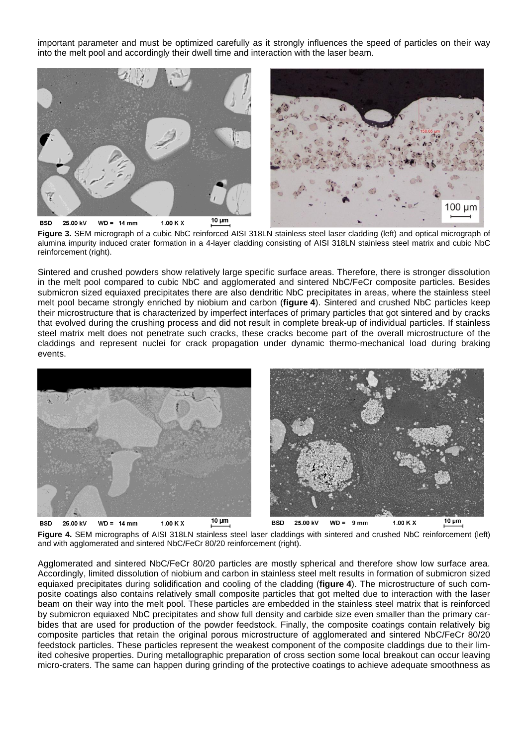important parameter and must be optimized carefully as it strongly influences the speed of particles on their way into the melt pool and accordingly their dwell time and interaction with the laser beam.



**Figure 3.** SEM micrograph of a cubic NbC reinforced AISI 318LN stainless steel laser cladding (left) and optical micrograph of alumina impurity induced crater formation in a 4-layer cladding consisting of AISI 318LN stainless steel matrix and cubic NbC reinforcement (right).

Sintered and crushed powders show relatively large specific surface areas. Therefore, there is stronger dissolution in the melt pool compared to cubic NbC and agglomerated and sintered NbC/FeCr composite particles. Besides submicron sized equiaxed precipitates there are also dendritic NbC precipitates in areas, where the stainless steel melt pool became strongly enriched by niobium and carbon (**figure 4**). Sintered and crushed NbC particles keep their microstructure that is characterized by imperfect interfaces of primary particles that got sintered and by cracks that evolved during the crushing process and did not result in complete break-up of individual particles. If stainless steel matrix melt does not penetrate such cracks, these cracks become part of the overall microstructure of the claddings and represent nuclei for crack propagation under dynamic thermo-mechanical load during braking events.



**Figure 4.** SEM micrographs of AISI 318LN stainless steel laser claddings with sintered and crushed NbC reinforcement (left) and with agglomerated and sintered NbC/FeCr 80/20 reinforcement (right).

Agglomerated and sintered NbC/FeCr 80/20 particles are mostly spherical and therefore show low surface area. Accordingly, limited dissolution of niobium and carbon in stainless steel melt results in formation of submicron sized equiaxed precipitates during solidification and cooling of the cladding (**figure 4**). The microstructure of such composite coatings also contains relatively small composite particles that got melted due to interaction with the laser beam on their way into the melt pool. These particles are embedded in the stainless steel matrix that is reinforced by submicron equiaxed NbC precipitates and show full density and carbide size even smaller than the primary carbides that are used for production of the powder feedstock. Finally, the composite coatings contain relatively big composite particles that retain the original porous microstructure of agglomerated and sintered NbC/FeCr 80/20 feedstock particles. These particles represent the weakest component of the composite claddings due to their limited cohesive properties. During metallographic preparation of cross section some local breakout can occur leaving micro-craters. The same can happen during grinding of the protective coatings to achieve adequate smoothness as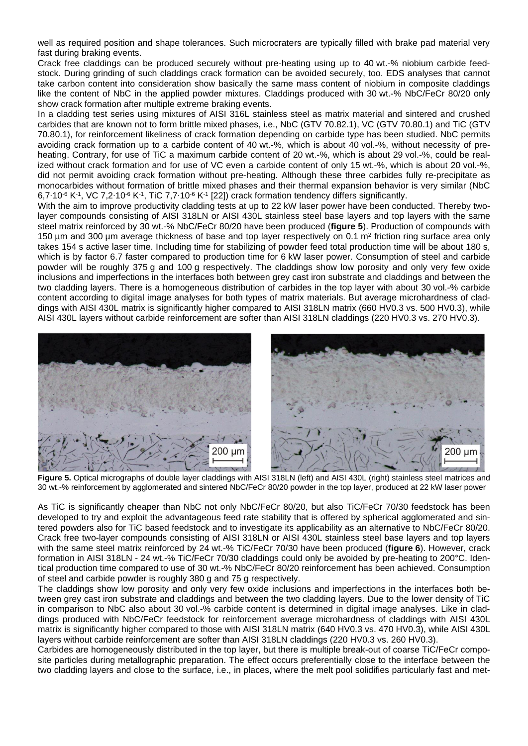well as required position and shape tolerances. Such microcraters are typically filled with brake pad material very fast during braking events.

Crack free claddings can be produced securely without pre-heating using up to 40 wt.-% niobium carbide feedstock. During grinding of such claddings crack formation can be avoided securely, too. EDS analyses that cannot take carbon content into consideration show basically the same mass content of niobium in composite claddings like the content of NbC in the applied powder mixtures. Claddings produced with 30 wt.-% NbC/FeCr 80/20 only show crack formation after multiple extreme braking events.

In a cladding test series using mixtures of AISI 316L stainless steel as matrix material and sintered and crushed carbides that are known not to form brittle mixed phases, i.e., NbC (GTV 70.82.1), VC (GTV 70.80.1) and TiC (GTV 70.80.1), for reinforcement likeliness of crack formation depending on carbide type has been studied. NbC permits avoiding crack formation up to a carbide content of 40 wt.-%, which is about 40 vol.-%, without necessity of preheating. Contrary, for use of TiC a maximum carbide content of 20 wt.-%, which is about 29 vol.-%, could be realized without crack formation and for use of VC even a carbide content of only 15 wt.-%, which is about 20 vol.-%, did not permit avoiding crack formation without pre-heating. Although these three carbides fully re-precipitate as monocarbides without formation of brittle mixed phases and their thermal expansion behavior is very similar (NbC 6,7∙10-6 K-1 , VC 7,2∙10-6 K-1 , TiC 7,7∙10-6 K-1 [22]) crack formation tendency differs significantly.

With the aim to improve productivity cladding tests at up to 22 kW laser power have been conducted. Thereby twolayer compounds consisting of AISI 318LN or AISI 430L stainless steel base layers and top layers with the same steel matrix reinforced by 30 wt.-% NbC/FeCr 80/20 have been produced (**figure 5**). Production of compounds with 150 μm and 300 μm average thickness of base and top layer respectively on 0.1 m<sup>2</sup> friction ring surface area only takes 154 s active laser time. Including time for stabilizing of powder feed total production time will be about 180 s, which is by factor 6.7 faster compared to production time for 6 kW laser power. Consumption of steel and carbide powder will be roughly 375 g and 100 g respectively. The claddings show low porosity and only very few oxide inclusions and imperfections in the interfaces both between grey cast iron substrate and claddings and between the two cladding layers. There is a homogeneous distribution of carbides in the top layer with about 30 vol.-% carbide content according to digital image analyses for both types of matrix materials. But average microhardness of claddings with AISI 430L matrix is significantly higher compared to AISI 318LN matrix (660 HV0.3 vs. 500 HV0.3), while AISI 430L layers without carbide reinforcement are softer than AISI 318LN claddings (220 HV0.3 vs. 270 HV0.3).



**Figure 5.** Optical micrographs of double layer claddings with AISI 318LN (left) and AISI 430L (right) stainless steel matrices and 30 wt.-% reinforcement by agglomerated and sintered NbC/FeCr 80/20 powder in the top layer, produced at 22 kW laser power

As TiC is significantly cheaper than NbC not only NbC/FeCr 80/20, but also TiC/FeCr 70/30 feedstock has been developed to try and exploit the advantageous feed rate stability that is offered by spherical agglomerated and sintered powders also for TiC based feedstock and to investigate its applicability as an alternative to NbC/FeCr 80/20. Crack free two-layer compounds consisting of AISI 318LN or AISI 430L stainless steel base layers and top layers with the same steel matrix reinforced by 24 wt.-% TiC/FeCr 70/30 have been produced (**figure 6**). However, crack formation in AISI 318LN - 24 wt.-% TiC/FeCr 70/30 claddings could only be avoided by pre-heating to 200°C. Identical production time compared to use of 30 wt.-% NbC/FeCr 80/20 reinforcement has been achieved. Consumption of steel and carbide powder is roughly 380 g and 75 g respectively.

The claddings show low porosity and only very few oxide inclusions and imperfections in the interfaces both between grey cast iron substrate and claddings and between the two cladding layers. Due to the lower density of TiC in comparison to NbC also about 30 vol.-% carbide content is determined in digital image analyses. Like in claddings produced with NbC/FeCr feedstock for reinforcement average microhardness of claddings with AISI 430L matrix is significantly higher compared to those with AISI 318LN matrix (640 HV0.3 vs. 470 HV0.3), while AISI 430L layers without carbide reinforcement are softer than AISI 318LN claddings (220 HV0.3 vs. 260 HV0.3).

Carbides are homogeneously distributed in the top layer, but there is multiple break-out of coarse TiC/FeCr composite particles during metallographic preparation. The effect occurs preferentially close to the interface between the two cladding layers and close to the surface, i.e., in places, where the melt pool solidifies particularly fast and met-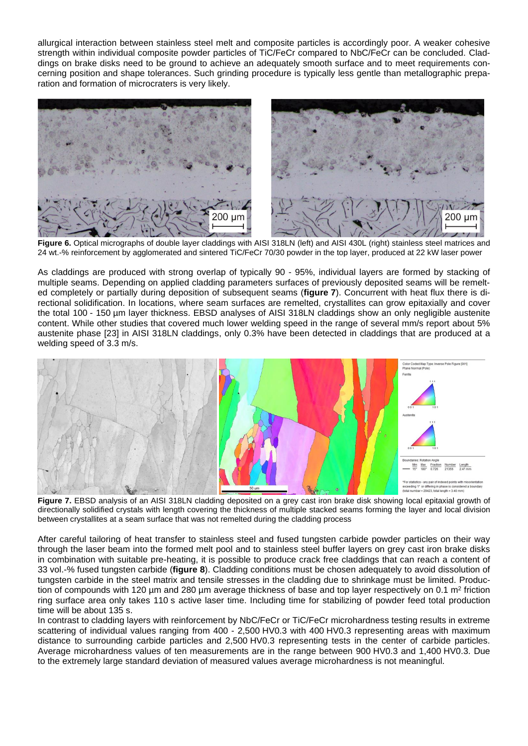allurgical interaction between stainless steel melt and composite particles is accordingly poor. A weaker cohesive strength within individual composite powder particles of TiC/FeCr compared to NbC/FeCr can be concluded. Claddings on brake disks need to be ground to achieve an adequately smooth surface and to meet requirements concerning position and shape tolerances. Such grinding procedure is typically less gentle than metallographic preparation and formation of microcraters is very likely.



**Figure 6.** Optical micrographs of double layer claddings with AISI 318LN (left) and AISI 430L (right) stainless steel matrices and 24 wt.-% reinforcement by agglomerated and sintered TiC/FeCr 70/30 powder in the top layer, produced at 22 kW laser power

As claddings are produced with strong overlap of typically 90 - 95%, individual layers are formed by stacking of multiple seams. Depending on applied cladding parameters surfaces of previously deposited seams will be remelted completely or partially during deposition of subsequent seams (**figure 7**). Concurrent with heat flux there is directional solidification. In locations, where seam surfaces are remelted, crystallites can grow epitaxially and cover the total 100 - 150 µm layer thickness. EBSD analyses of AISI 318LN claddings show an only negligible austenite content. While other studies that covered much lower welding speed in the range of several mm/s report about 5% austenite phase [23] in AISI 318LN claddings, only 0.3% have been detected in claddings that are produced at a welding speed of 3.3 m/s.



**Figure 7.** EBSD analysis of an AISI 318LN cladding deposited on a grey cast iron brake disk showing local epitaxial growth of directionally solidified crystals with length covering the thickness of multiple stacked seams forming the layer and local division between crystallites at a seam surface that was not remelted during the cladding process

After careful tailoring of heat transfer to stainless steel and fused tungsten carbide powder particles on their way through the laser beam into the formed melt pool and to stainless steel buffer layers on grey cast iron brake disks in combination with suitable pre-heating, it is possible to produce crack free claddings that can reach a content of 33 vol.-% fused tungsten carbide (**figure 8**). Cladding conditions must be chosen adequately to avoid dissolution of tungsten carbide in the steel matrix and tensile stresses in the cladding due to shrinkage must be limited. Production of compounds with 120 µm and 280 µm average thickness of base and top layer respectively on 0.1 m<sup>2</sup> friction ring surface area only takes 110 s active laser time. Including time for stabilizing of powder feed total production time will be about 135 s.

In contrast to cladding layers with reinforcement by NbC/FeCr or TiC/FeCr microhardness testing results in extreme scattering of individual values ranging from 400 - 2,500 HV0.3 with 400 HV0.3 representing areas with maximum distance to surrounding carbide particles and 2,500 HV0.3 representing tests in the center of carbide particles. Average microhardness values of ten measurements are in the range between 900 HV0.3 and 1,400 HV0.3. Due to the extremely large standard deviation of measured values average microhardness is not meaningful.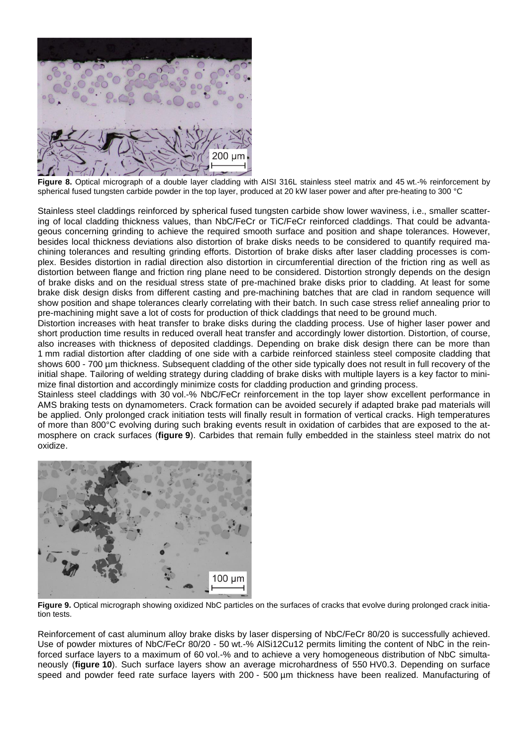

**Figure 8.** Optical micrograph of a double layer cladding with AISI 316L stainless steel matrix and 45 wt.-% reinforcement by spherical fused tungsten carbide powder in the top layer, produced at 20 kW laser power and after pre-heating to 300 °C

Stainless steel claddings reinforced by spherical fused tungsten carbide show lower waviness, i.e., smaller scattering of local cladding thickness values, than NbC/FeCr or TiC/FeCr reinforced claddings. That could be advantageous concerning grinding to achieve the required smooth surface and position and shape tolerances. However, besides local thickness deviations also distortion of brake disks needs to be considered to quantify required machining tolerances and resulting grinding efforts. Distortion of brake disks after laser cladding processes is complex. Besides distortion in radial direction also distortion in circumferential direction of the friction ring as well as distortion between flange and friction ring plane need to be considered. Distortion strongly depends on the design of brake disks and on the residual stress state of pre-machined brake disks prior to cladding. At least for some brake disk design disks from different casting and pre-machining batches that are clad in random sequence will show position and shape tolerances clearly correlating with their batch. In such case stress relief annealing prior to pre-machining might save a lot of costs for production of thick claddings that need to be ground much.

Distortion increases with heat transfer to brake disks during the cladding process. Use of higher laser power and short production time results in reduced overall heat transfer and accordingly lower distortion. Distortion, of course, also increases with thickness of deposited claddings. Depending on brake disk design there can be more than 1 mm radial distortion after cladding of one side with a carbide reinforced stainless steel composite cladding that shows 600 - 700 µm thickness. Subsequent cladding of the other side typically does not result in full recovery of the initial shape. Tailoring of welding strategy during cladding of brake disks with multiple layers is a key factor to minimize final distortion and accordingly minimize costs for cladding production and grinding process.

Stainless steel claddings with 30 vol.-% NbC/FeCr reinforcement in the top layer show excellent performance in AMS braking tests on dynamometers. Crack formation can be avoided securely if adapted brake pad materials will be applied. Only prolonged crack initiation tests will finally result in formation of vertical cracks. High temperatures of more than 800°C evolving during such braking events result in oxidation of carbides that are exposed to the atmosphere on crack surfaces (**figure 9**). Carbides that remain fully embedded in the stainless steel matrix do not oxidize.



**Figure 9.** Optical micrograph showing oxidized NbC particles on the surfaces of cracks that evolve during prolonged crack initiation tests.

Reinforcement of cast aluminum alloy brake disks by laser dispersing of NbC/FeCr 80/20 is successfully achieved. Use of powder mixtures of NbC/FeCr 80/20 - 50 wt.-% AlSi12Cu12 permits limiting the content of NbC in the reinforced surface layers to a maximum of 60 vol.-% and to achieve a very homogeneous distribution of NbC simultaneously (**figure 10**). Such surface layers show an average microhardness of 550 HV0.3. Depending on surface speed and powder feed rate surface layers with 200 - 500 um thickness have been realized. Manufacturing of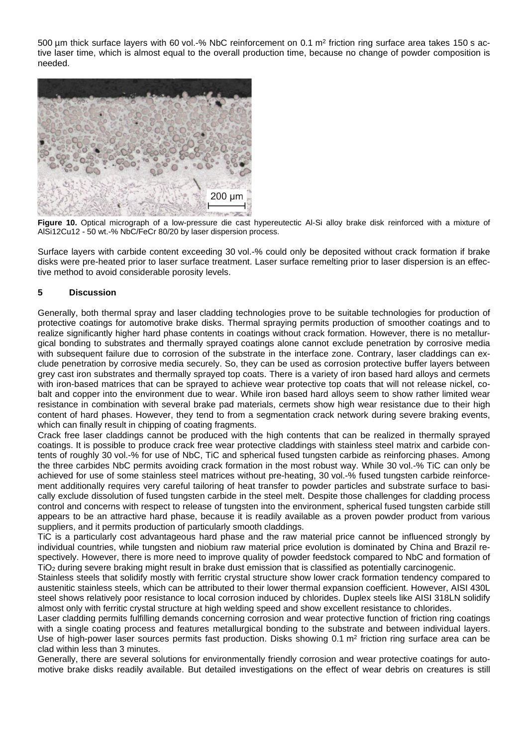500 µm thick surface layers with 60 vol.-% NbC reinforcement on 0.1 m<sup>2</sup> friction ring surface area takes 150 s active laser time, which is almost equal to the overall production time, because no change of powder composition is needed.



**Figure 10.** Optical micrograph of a low-pressure die cast hypereutectic Al-Si alloy brake disk reinforced with a mixture of AlSi12Cu12 - 50 wt.-% NbC/FeCr 80/20 by laser dispersion process.

Surface layers with carbide content exceeding 30 vol.-% could only be deposited without crack formation if brake disks were pre-heated prior to laser surface treatment. Laser surface remelting prior to laser dispersion is an effective method to avoid considerable porosity levels.

#### **5 Discussion**

Generally, both thermal spray and laser cladding technologies prove to be suitable technologies for production of protective coatings for automotive brake disks. Thermal spraying permits production of smoother coatings and to realize significantly higher hard phase contents in coatings without crack formation. However, there is no metallurgical bonding to substrates and thermally sprayed coatings alone cannot exclude penetration by corrosive media with subsequent failure due to corrosion of the substrate in the interface zone. Contrary, laser claddings can exclude penetration by corrosive media securely. So, they can be used as corrosion protective buffer layers between grey cast iron substrates and thermally sprayed top coats. There is a variety of iron based hard alloys and cermets with iron-based matrices that can be sprayed to achieve wear protective top coats that will not release nickel, cobalt and copper into the environment due to wear. While iron based hard alloys seem to show rather limited wear resistance in combination with several brake pad materials, cermets show high wear resistance due to their high content of hard phases. However, they tend to from a segmentation crack network during severe braking events, which can finally result in chipping of coating fragments.

Crack free laser claddings cannot be produced with the high contents that can be realized in thermally sprayed coatings. It is possible to produce crack free wear protective claddings with stainless steel matrix and carbide contents of roughly 30 vol.-% for use of NbC, TiC and spherical fused tungsten carbide as reinforcing phases. Among the three carbides NbC permits avoiding crack formation in the most robust way. While 30 vol.-% TiC can only be achieved for use of some stainless steel matrices without pre-heating, 30 vol.-% fused tungsten carbide reinforcement additionally requires very careful tailoring of heat transfer to powder particles and substrate surface to basically exclude dissolution of fused tungsten carbide in the steel melt. Despite those challenges for cladding process control and concerns with respect to release of tungsten into the environment, spherical fused tungsten carbide still appears to be an attractive hard phase, because it is readily available as a proven powder product from various suppliers, and it permits production of particularly smooth claddings.

TiC is a particularly cost advantageous hard phase and the raw material price cannot be influenced strongly by individual countries, while tungsten and niobium raw material price evolution is dominated by China and Brazil respectively. However, there is more need to improve quality of powder feedstock compared to NbC and formation of TiO<sup>2</sup> during severe braking might result in brake dust emission that is classified as potentially carcinogenic.

Stainless steels that solidify mostly with ferritic crystal structure show lower crack formation tendency compared to austenitic stainless steels, which can be attributed to their lower thermal expansion coefficient. However, AISI 430L steel shows relatively poor resistance to local corrosion induced by chlorides. Duplex steels like AISI 318LN solidify almost only with ferritic crystal structure at high welding speed and show excellent resistance to chlorides.

Laser cladding permits fulfilling demands concerning corrosion and wear protective function of friction ring coatings with a single coating process and features metallurgical bonding to the substrate and between individual layers. Use of high-power laser sources permits fast production. Disks showing  $0.1 \text{ m}^2$  friction ring surface area can be clad within less than 3 minutes.

Generally, there are several solutions for environmentally friendly corrosion and wear protective coatings for automotive brake disks readily available. But detailed investigations on the effect of wear debris on creatures is still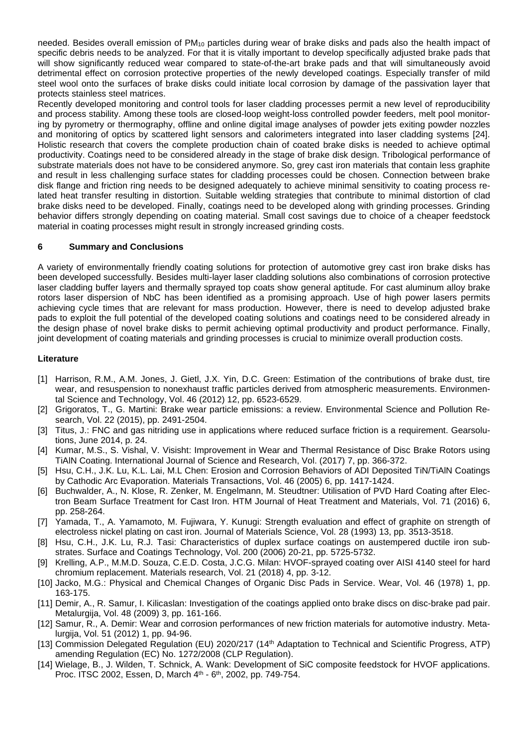needed. Besides overall emission of PM<sub>10</sub> particles during wear of brake disks and pads also the health impact of specific debris needs to be analyzed. For that it is vitally important to develop specifically adjusted brake pads that will show significantly reduced wear compared to state-of-the-art brake pads and that will simultaneously avoid detrimental effect on corrosion protective properties of the newly developed coatings. Especially transfer of mild steel wool onto the surfaces of brake disks could initiate local corrosion by damage of the passivation layer that protects stainless steel matrices.

Recently developed monitoring and control tools for laser cladding processes permit a new level of reproducibility and process stability. Among these tools are closed-loop weight-loss controlled powder feeders, melt pool monitoring by pyrometry or thermography, offline and online digital image analyses of powder jets exiting powder nozzles and monitoring of optics by scattered light sensors and calorimeters integrated into laser cladding systems [24]. Holistic research that covers the complete production chain of coated brake disks is needed to achieve optimal productivity. Coatings need to be considered already in the stage of brake disk design. Tribological performance of substrate materials does not have to be considered anymore. So, grey cast iron materials that contain less graphite and result in less challenging surface states for cladding processes could be chosen. Connection between brake disk flange and friction ring needs to be designed adequately to achieve minimal sensitivity to coating process related heat transfer resulting in distortion. Suitable welding strategies that contribute to minimal distortion of clad brake disks need to be developed. Finally, coatings need to be developed along with grinding processes. Grinding behavior differs strongly depending on coating material. Small cost savings due to choice of a cheaper feedstock material in coating processes might result in strongly increased grinding costs.

### **6 Summary and Conclusions**

A variety of environmentally friendly coating solutions for protection of automotive grey cast iron brake disks has been developed successfully. Besides multi-layer laser cladding solutions also combinations of corrosion protective laser cladding buffer layers and thermally sprayed top coats show general aptitude. For cast aluminum alloy brake rotors laser dispersion of NbC has been identified as a promising approach. Use of high power lasers permits achieving cycle times that are relevant for mass production. However, there is need to develop adjusted brake pads to exploit the full potential of the developed coating solutions and coatings need to be considered already in the design phase of novel brake disks to permit achieving optimal productivity and product performance. Finally, joint development of coating materials and grinding processes is crucial to minimize overall production costs.

### **Literature**

- [1] Harrison, R.M., A.M. Jones, J. Gietl, J.X. Yin, D.C. Green: Estimation of the contributions of brake dust, tire wear, and resuspension to nonexhaust traffic particles derived from atmospheric measurements. Environmental Science and Technology, Vol. 46 (2012) 12, pp. 6523-6529.
- [2] Grigoratos, T., G. Martini: Brake wear particle emissions: a review. Environmental Science and Pollution Research, Vol. 22 (2015), pp. 2491-2504.
- [3] Titus, J.: FNC and gas nitriding use in applications where reduced surface friction is a requirement. Gearsolutions, June 2014, p. 24.
- [4] Kumar, M.S., S. Vishal, V. Visisht: Improvement in Wear and Thermal Resistance of Disc Brake Rotors using TiAlN Coating. International Journal of Science and Research, Vol. (2017) 7, pp. 366-372.
- [5] Hsu, C.H., J.K. Lu, K.L. Lai, M.L Chen: Erosion and Corrosion Behaviors of ADI Deposited TiN/TiAlN Coatings by Cathodic Arc Evaporation. Materials Transactions, Vol. 46 (2005) 6, pp. 1417-1424.
- [6] Buchwalder, A., N. Klose, R. Zenker, M. Engelmann, M. Steudtner: Utilisation of PVD Hard Coating after Electron Beam Surface Treatment for Cast Iron. HTM Journal of Heat Treatment and Materials, Vol. 71 (2016) 6, pp. 258-264.
- [7] Yamada, T., A. Yamamoto, M. Fujiwara, Y. Kunugi: Strength evaluation and effect of graphite on strength of electroless nickel plating on cast iron. Journal of Materials Science, Vol. 28 (1993) 13, pp. 3513-3518.
- [8] Hsu, C.H., J.K. Lu, R.J. Tasi: Characteristics of duplex surface coatings on austempered ductile iron substrates. Surface and Coatings Technology, Vol. 200 (2006) 20-21, pp. 5725-5732.
- [9] Krelling, A.P., M.M.D. Souza, C.E.D. Costa, J.C.G. Milan: HVOF-sprayed coating over AISI 4140 steel for hard chromium replacement. Materials research, Vol. 21 (2018) 4, pp. 3-12.
- [10] Jacko, M.G.: Physical and Chemical Changes of Organic Disc Pads in Service. Wear, Vol. 46 (1978) 1, pp. 163-175.
- [11] Demir, A., R. Samur, I. Kilicaslan: Investigation of the coatings applied onto brake discs on disc-brake pad pair. Metalurgija, Vol. 48 (2009) 3, pp. 161-166.
- [12] Samur, R., A. Demir: Wear and corrosion performances of new friction materials for automotive industry. Metalurgija, Vol. 51 (2012) 1, pp. 94-96.
- [13] Commission Delegated Regulation (EU) 2020/217 (14th Adaptation to Technical and Scientific Progress, ATP) amending Regulation (EC) No. 1272/2008 (CLP Regulation).
- [14] Wielage, B., J. Wilden, T. Schnick, A. Wank: Development of SiC composite feedstock for HVOF applications. Proc. ITSC 2002, Essen, D, March 4<sup>th</sup> - 6<sup>th</sup>, 2002, pp. 749-754.